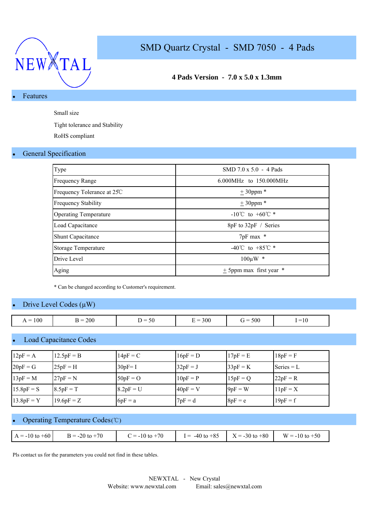

### **4 Pads Version - 7.0 x 5.0 x 1.3mm**

#### **Features**

Small size

Tight tolerance and Stability

RoHS compliant

#### **General Specification**

| Type                         | $SMD 7.0 \times 5.0 - 4$ Pads      |
|------------------------------|------------------------------------|
| <b>Frequency Range</b>       | 6.000MHz to 150.000MHz             |
| Frequency Tolerance at 25C   | $\pm$ 30ppm $*$                    |
| <b>Frequency Stability</b>   | $± 30$ ppm $*$                     |
| <b>Operating Temperature</b> | $-10^{\circ}$ C to $+60^{\circ}$ * |
| Load Capacitance             | 8pF to 32pF / Series               |
| <b>Shunt Capacitance</b>     | 7pF max *                          |
| <b>Storage Temperature</b>   | $-40^{\circ}$ C to $+85^{\circ}$ * |
| Drive Level                  | $100 \mu W$ *                      |
| Aging                        | $\pm$ 5ppm max first year $*$      |

\* Can be changed according to Customer's requirement.

#### Drive Level Codes  $(\mu W)$

| 100<br>$\overline{\phantom{0}}$ | 200<br>$\overline{\phantom{0}}$<br>- | $\overline{\phantom{0}}$<br>$50^{\circ}$<br>~ | 300<br>$\overline{\phantom{a}}$ | 500<br>$\overline{\phantom{0}}$<br>∵ = | $=$ $\overline{1}$<br>. I O |
|---------------------------------|--------------------------------------|-----------------------------------------------|---------------------------------|----------------------------------------|-----------------------------|

#### **Load Capacitance Codes**

| $12pF = A$   | $12.5pF = B$ | $14pF = C$  | $16pF = D$ | $17pF = E$ | $18pF = F$   |
|--------------|--------------|-------------|------------|------------|--------------|
| $20pF = G$   | $25pF = H$   | $30pF = 1$  | $32pF = J$ | $33pF = K$ | Series $= L$ |
| $13pF = M$   | $27pF = N$   | $50pF = O$  | $10pF = P$ | $15pF = Q$ | $22pF = R$   |
| $15.8pF = S$ | $8.5pF = T$  | $8.2pF = U$ | $40pF = V$ | $9pF = W$  | $11pF = X$   |
| $13.8pF = Y$ | $19.6pF = Z$ | $6pF = a$   | $7pF = d$  | $8pF = e$  | $19pF = f$   |

#### Operating Temperature Codes (℃)

| $A = -10$ to $+60$ | $B = -20$ to $+70$ | $C = -10$ to $+70$ |  | $I = -40$ to +85 $X = -30$ to +80 $W = -10$ to +50 |
|--------------------|--------------------|--------------------|--|----------------------------------------------------|

Pls contact us for the parameters you could not find in these tables.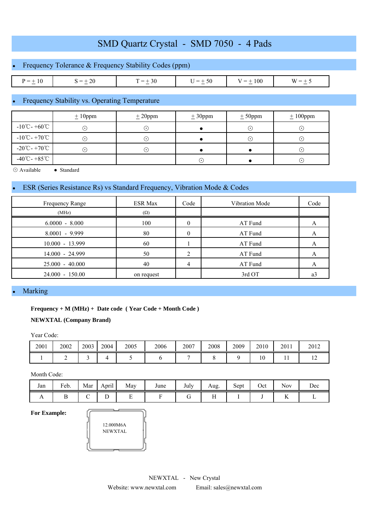## Frequency Tolerance & Frequency Stability Codes (ppm)

| $\overline{\phantom{a}}$<br>__<br>1 V<br>$\sim$ | <br>$\sim$<br>$\sim$ | -<br>$\sim$ | -<br>$\overline{\phantom{a}}$<br>$\sim$ | $\mathbf{u}$<br>$\overline{\phantom{a}}$<br>_<br>$\sim$ | W.<br>$\sim$ |
|-------------------------------------------------|----------------------|-------------|-----------------------------------------|---------------------------------------------------------|--------------|

### Frequency Stability vs. Operating Temperature

|                                             | $\pm 10$ ppm | $\pm 20$ ppm | ± 30 ppm | $± 50$ ppm | $±100$ ppm |
|---------------------------------------------|--------------|--------------|----------|------------|------------|
| $-10^{\circ}$ C - +60 $^{\circ}$ C          | $(\bullet)$  | . .          |          | $(\cdot)$  | $\odot$    |
| $-10^{\circ}$ C - +70 $^{\circ}$ C          | . ا          | ( • )        |          | $(\cdot)$  | $(\cdot)$  |
| $-20^{\circ}\text{C} - +70^{\circ}\text{C}$ | ( • )        | ٠.           |          |            | $(\cdot)$  |
| $-40^{\circ}$ C - +85 $^{\circ}$ C          |              |              | ۰.)      |            | $\odot$    |

⊙ Available ● Standard

#### ESR (Series Resistance Rs) vs Standard Frequency, Vibration Mode & Codes

| Frequency Range   | <b>ESR Max</b> | Code | Vibration Mode | Code |
|-------------------|----------------|------|----------------|------|
| (MHz)             | $(\Omega)$     |      |                |      |
| $6.0000 - 8.000$  | 100            |      | AT Fund        |      |
| $8.0001 - 9.999$  | 80             |      | AT Fund        |      |
| $10.000 - 13.999$ | 60             |      | AT Fund        |      |
| 14.000 - 24.999   | 50             |      | AT Fund        |      |
| $25.000 - 40.000$ | 40             | 4    | AT Fund        |      |
| 24.000 - 150.00   | on request     |      | 3rd OT         | a    |

#### **Marking**

#### **Frequency + M (MHz) + Date code ( Year Code + Month Code )**

#### **NEWXTAL (Company Brand)**

Year Code:

| 2001 | 2002 | 2003 | 2004 | 2005 | 2006 | 2007 | 2008 | 2009 | 2010                | 2011 | 2012 |
|------|------|------|------|------|------|------|------|------|---------------------|------|------|
|      | -    |      |      |      |      |      |      |      | $\mathcal{L}$<br>1Ψ | . .  | . .  |

Month Code:

| Jan            | Feb. | Mar    | $\cdot$ .<br>April | May | June | July | Aug.         | $\sim$<br>Sept | Oct | <b>Nov</b>            | Dec |
|----------------|------|--------|--------------------|-----|------|------|--------------|----------------|-----|-----------------------|-----|
| $\overline{1}$ | ∸    | ∽<br>◡ | ∸                  | -   |      | ∽    | $\mathbf{r}$ |                |     | <b>Section</b><br>Ъv. |     |

**For Example:**

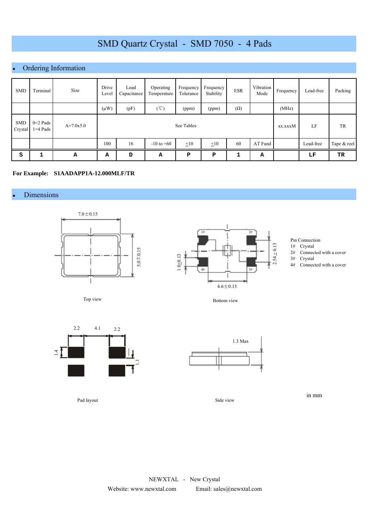## Ordering Information

| <b>SMD</b>            | Terminal                 | Size        | Drive<br>Level | Load<br>Capacitance | Operating<br>Temperature | Frequency<br>Tolerance | Frequency<br>Stability | <b>ESR</b> | Vibration<br>Mode | Frequency | Lead-free | Packing     |
|-----------------------|--------------------------|-------------|----------------|---------------------|--------------------------|------------------------|------------------------|------------|-------------------|-----------|-----------|-------------|
|                       |                          |             | $(\mu W)$      | (pF)                | (°C)                     | (ppm)                  | (ppm)                  | $(\Omega)$ |                   | (MHz)     |           |             |
| <b>SMD</b><br>Crystal | $0=2$ Pads<br>$1=4$ Pads | $A=7.0x5.0$ |                |                     | See Tables               | xx.xxxM                | LF                     | TR         |                   |           |           |             |
|                       |                          |             | 100            | 16                  | $-10$ to $+60$           | $\pm 10$               | $\pm 10$               | 60         | AT Fund           |           | Lead-free | Tape & reel |
| S                     |                          | А           | А              | D                   | А                        | P                      | ${\bf P}$              | ٠          | А                 |           | LF        | TR          |

#### **For Example: S1AADAPP1A-12.000MLF/TR**

#### • Dimensions







Pin Connection

- 1# Crystal
- $2#$  Connected with a cover<br> $3#$  Crystal Crystal
- 4# Connected with a cover

Bottom view



1.3 Max

Side view

in mm

Pad layout